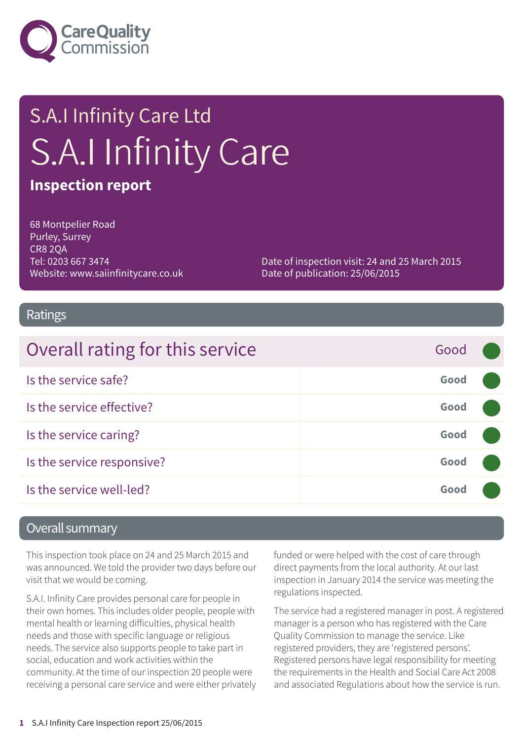

# S.A.I Infinity Care Ltd S.A.I Infinity Care

#### **Inspection report**

68 Montpelier Road Purley, Surrey CR8 2QA Tel: 0203 667 3474 Website: www.saiinfinitycare.co.uk

Date of inspection visit: 24 and 25 March 2015 Date of publication: 25/06/2015

#### Ratings

| Overall rating for this service | Good |  |
|---------------------------------|------|--|
| Is the service safe?            | Good |  |
| Is the service effective?       | Good |  |
| Is the service caring?          | Good |  |
| Is the service responsive?      | Good |  |
| Is the service well-led?        | Good |  |

#### Overall summary

This inspection took place on 24 and 25 March 2015 and was announced. We told the provider two days before our visit that we would be coming.

S.A.I. Infinity Care provides personal care for people in their own homes. This includes older people, people with mental health or learning difficulties, physical health needs and those with specific language or religious needs. The service also supports people to take part in social, education and work activities within the community. At the time of our inspection 20 people were receiving a personal care service and were either privately funded or were helped with the cost of care through direct payments from the local authority. At our last inspection in January 2014 the service was meeting the regulations inspected.

The service had a registered manager in post. A registered manager is a person who has registered with the Care Quality Commission to manage the service. Like registered providers, they are 'registered persons'. Registered persons have legal responsibility for meeting the requirements in the Health and Social Care Act 2008 and associated Regulations about how the service is run.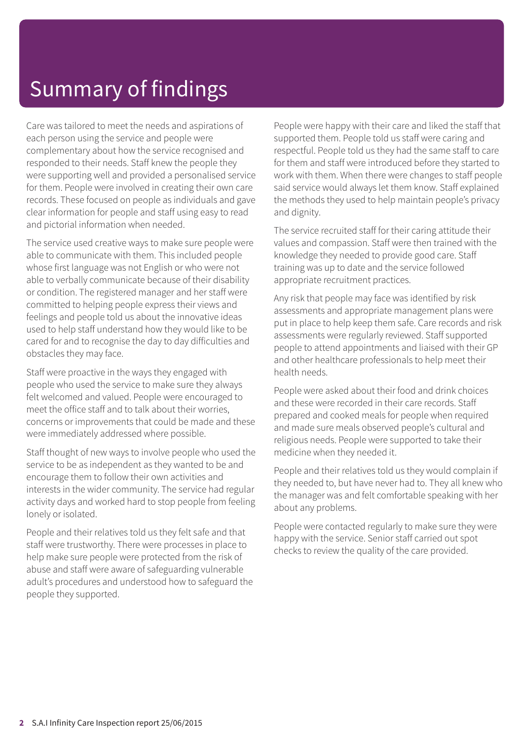# Summary of findings

Care was tailored to meet the needs and aspirations of each person using the service and people were complementary about how the service recognised and responded to their needs. Staff knew the people they were supporting well and provided a personalised service for them. People were involved in creating their own care records. These focused on people as individuals and gave clear information for people and staff using easy to read and pictorial information when needed.

The service used creative ways to make sure people were able to communicate with them. This included people whose first language was not English or who were not able to verbally communicate because of their disability or condition. The registered manager and her staff were committed to helping people express their views and feelings and people told us about the innovative ideas used to help staff understand how they would like to be cared for and to recognise the day to day difficulties and obstacles they may face.

Staff were proactive in the ways they engaged with people who used the service to make sure they always felt welcomed and valued. People were encouraged to meet the office staff and to talk about their worries, concerns or improvements that could be made and these were immediately addressed where possible.

Staff thought of new ways to involve people who used the service to be as independent as they wanted to be and encourage them to follow their own activities and interests in the wider community. The service had regular activity days and worked hard to stop people from feeling lonely or isolated.

People and their relatives told us they felt safe and that staff were trustworthy. There were processes in place to help make sure people were protected from the risk of abuse and staff were aware of safeguarding vulnerable adult's procedures and understood how to safeguard the people they supported.

People were happy with their care and liked the staff that supported them. People told us staff were caring and respectful. People told us they had the same staff to care for them and staff were introduced before they started to work with them. When there were changes to staff people said service would always let them know. Staff explained the methods they used to help maintain people's privacy and dignity.

The service recruited staff for their caring attitude their values and compassion. Staff were then trained with the knowledge they needed to provide good care. Staff training was up to date and the service followed appropriate recruitment practices.

Any risk that people may face was identified by risk assessments and appropriate management plans were put in place to help keep them safe. Care records and risk assessments were regularly reviewed. Staff supported people to attend appointments and liaised with their GP and other healthcare professionals to help meet their health needs.

People were asked about their food and drink choices and these were recorded in their care records. Staff prepared and cooked meals for people when required and made sure meals observed people's cultural and religious needs. People were supported to take their medicine when they needed it.

People and their relatives told us they would complain if they needed to, but have never had to. They all knew who the manager was and felt comfortable speaking with her about any problems.

People were contacted regularly to make sure they were happy with the service. Senior staff carried out spot checks to review the quality of the care provided.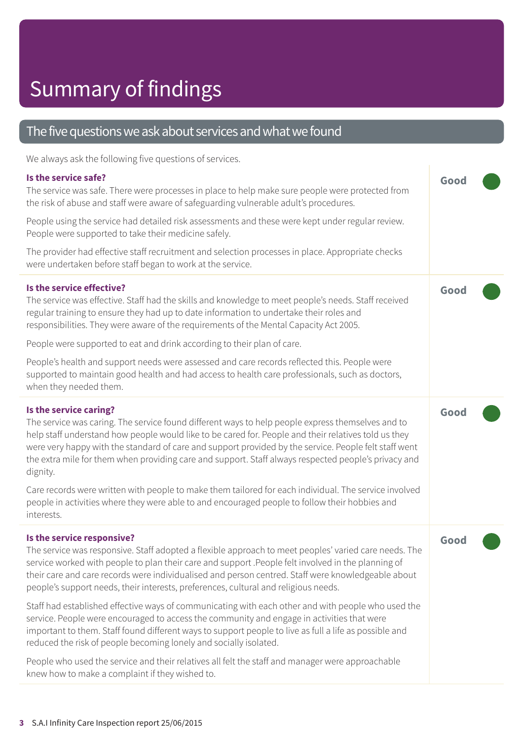#### The five questions we ask about services and what we found

We always ask the following five questions of services.

| Is the service safe?<br>The service was safe. There were processes in place to help make sure people were protected from<br>the risk of abuse and staff were aware of safeguarding vulnerable adult's procedures.<br>People using the service had detailed risk assessments and these were kept under regular review.<br>People were supported to take their medicine safely.                                                                                                                                                                                                                                                  | Good |
|--------------------------------------------------------------------------------------------------------------------------------------------------------------------------------------------------------------------------------------------------------------------------------------------------------------------------------------------------------------------------------------------------------------------------------------------------------------------------------------------------------------------------------------------------------------------------------------------------------------------------------|------|
| The provider had effective staff recruitment and selection processes in place. Appropriate checks<br>were undertaken before staff began to work at the service.                                                                                                                                                                                                                                                                                                                                                                                                                                                                |      |
| Is the service effective?<br>The service was effective. Staff had the skills and knowledge to meet people's needs. Staff received<br>regular training to ensure they had up to date information to undertake their roles and<br>responsibilities. They were aware of the requirements of the Mental Capacity Act 2005.<br>People were supported to eat and drink according to their plan of care.<br>People's health and support needs were assessed and care records reflected this. People were<br>supported to maintain good health and had access to health care professionals, such as doctors,<br>when they needed them. | Good |
| Is the service caring?<br>The service was caring. The service found different ways to help people express themselves and to<br>help staff understand how people would like to be cared for. People and their relatives told us they<br>were very happy with the standard of care and support provided by the service. People felt staff went<br>the extra mile for them when providing care and support. Staff always respected people's privacy and<br>dignity.                                                                                                                                                               | Good |
| Care records were written with people to make them tailored for each individual. The service involved<br>people in activities where they were able to and encouraged people to follow their hobbies and<br>interests.                                                                                                                                                                                                                                                                                                                                                                                                          |      |
| Is the service responsive?<br>The service was responsive. Staff adopted a flexible approach to meet peoples' varied care needs. The<br>service worked with people to plan their care and support .People felt involved in the planning of<br>their care and care records were individualised and person centred. Staff were knowledgeable about<br>people's support needs, their interests, preferences, cultural and religious needs.                                                                                                                                                                                         | Good |
| Staff had established effective ways of communicating with each other and with people who used the<br>service. People were encouraged to access the community and engage in activities that were<br>important to them. Staff found different ways to support people to live as full a life as possible and<br>reduced the risk of people becoming lonely and socially isolated.                                                                                                                                                                                                                                                |      |
| People who used the service and their relatives all felt the staff and manager were approachable<br>knew how to make a complaint if they wished to.                                                                                                                                                                                                                                                                                                                                                                                                                                                                            |      |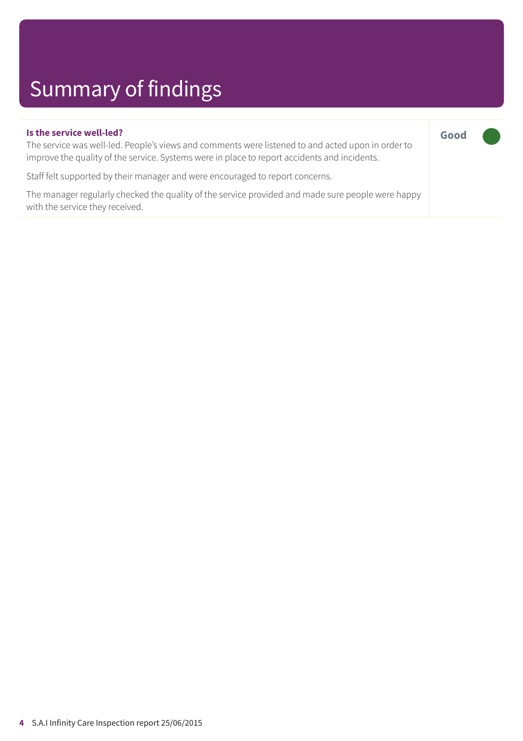# Summary of findings

|  | Is the service well-led? |  |
|--|--------------------------|--|
|  |                          |  |

The service was well-led. People's views and comments were listened to and acted upon in order to improve the quality of the service. Systems were in place to report accidents and incidents.

**Good –––**

Staff felt supported by their manager and were encouraged to report concerns.

The manager regularly checked the quality of the service provided and made sure people were happy with the service they received.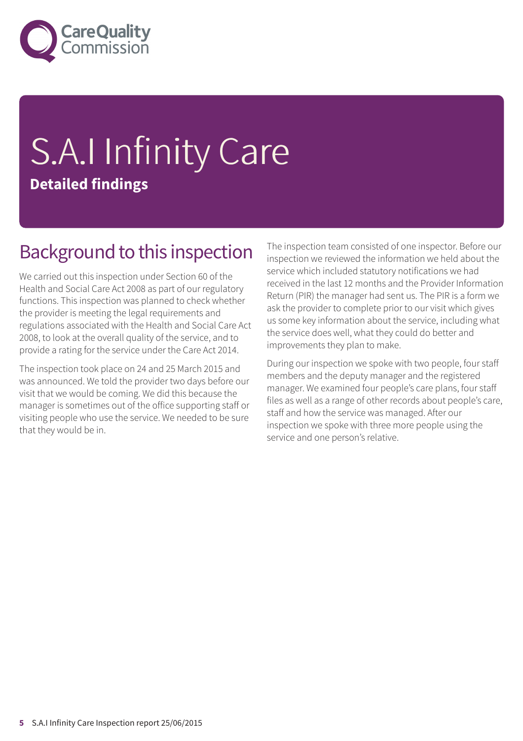

# S.A.I Infinity Care **Detailed findings**

#### Background to this inspection

We carried out this inspection under Section 60 of the Health and Social Care Act 2008 as part of our regulatory functions. This inspection was planned to check whether the provider is meeting the legal requirements and regulations associated with the Health and Social Care Act 2008, to look at the overall quality of the service, and to provide a rating for the service under the Care Act 2014.

The inspection took place on 24 and 25 March 2015 and was announced. We told the provider two days before our visit that we would be coming. We did this because the manager is sometimes out of the office supporting staff or visiting people who use the service. We needed to be sure that they would be in.

The inspection team consisted of one inspector. Before our inspection we reviewed the information we held about the service which included statutory notifications we had received in the last 12 months and the Provider Information Return (PIR) the manager had sent us. The PIR is a form we ask the provider to complete prior to our visit which gives us some key information about the service, including what the service does well, what they could do better and improvements they plan to make.

During our inspection we spoke with two people, four staff members and the deputy manager and the registered manager. We examined four people's care plans, four staff files as well as a range of other records about people's care, staff and how the service was managed. After our inspection we spoke with three more people using the service and one person's relative.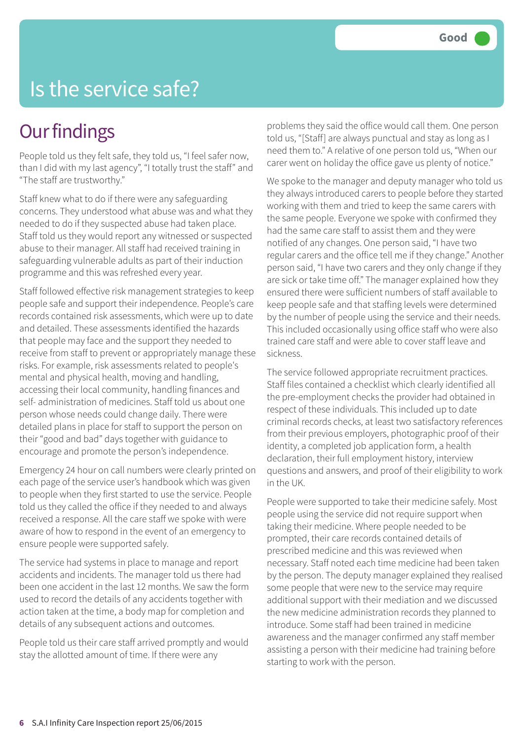## Is the service safe?

#### **Our findings**

People told us they felt safe, they told us, "I feel safer now, than I did with my last agency", "I totally trust the staff" and "The staff are trustworthy."

Staff knew what to do if there were any safeguarding concerns. They understood what abuse was and what they needed to do if they suspected abuse had taken place. Staff told us they would report any witnessed or suspected abuse to their manager. All staff had received training in safeguarding vulnerable adults as part of their induction programme and this was refreshed every year.

Staff followed effective risk management strategies to keep people safe and support their independence. People's care records contained risk assessments, which were up to date and detailed. These assessments identified the hazards that people may face and the support they needed to receive from staff to prevent or appropriately manage these risks. For example, risk assessments related to people's mental and physical health, moving and handling, accessing their local community, handling finances and self- administration of medicines. Staff told us about one person whose needs could change daily. There were detailed plans in place for staff to support the person on their "good and bad" days together with guidance to encourage and promote the person's independence.

Emergency 24 hour on call numbers were clearly printed on each page of the service user's handbook which was given to people when they first started to use the service. People told us they called the office if they needed to and always received a response. All the care staff we spoke with were aware of how to respond in the event of an emergency to ensure people were supported safely.

The service had systems in place to manage and report accidents and incidents. The manager told us there had been one accident in the last 12 months. We saw the form used to record the details of any accidents together with action taken at the time, a body map for completion and details of any subsequent actions and outcomes.

People told us their care staff arrived promptly and would stay the allotted amount of time. If there were any

problems they said the office would call them. One person told us, "[Staff] are always punctual and stay as long as I need them to." A relative of one person told us, "When our carer went on holiday the office gave us plenty of notice."

We spoke to the manager and deputy manager who told us they always introduced carers to people before they started working with them and tried to keep the same carers with the same people. Everyone we spoke with confirmed they had the same care staff to assist them and they were notified of any changes. One person said, "I have two regular carers and the office tell me if they change." Another person said, "I have two carers and they only change if they are sick or take time off." The manager explained how they ensured there were sufficient numbers of staff available to keep people safe and that staffing levels were determined by the number of people using the service and their needs. This included occasionally using office staff who were also trained care staff and were able to cover staff leave and sickness.

The service followed appropriate recruitment practices. Staff files contained a checklist which clearly identified all the pre-employment checks the provider had obtained in respect of these individuals. This included up to date criminal records checks, at least two satisfactory references from their previous employers, photographic proof of their identity, a completed job application form, a health declaration, their full employment history, interview questions and answers, and proof of their eligibility to work in the UK.

People were supported to take their medicine safely. Most people using the service did not require support when taking their medicine. Where people needed to be prompted, their care records contained details of prescribed medicine and this was reviewed when necessary. Staff noted each time medicine had been taken by the person. The deputy manager explained they realised some people that were new to the service may require additional support with their mediation and we discussed the new medicine administration records they planned to introduce. Some staff had been trained in medicine awareness and the manager confirmed any staff member assisting a person with their medicine had training before starting to work with the person.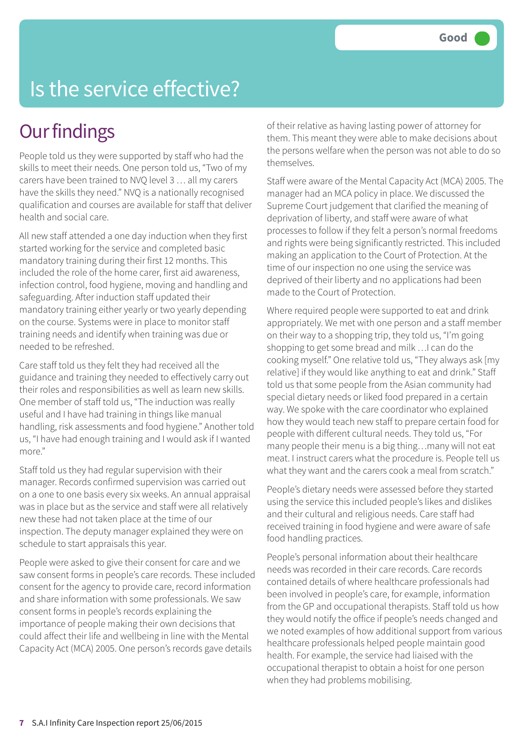# Is the service effective?

### **Our findings**

People told us they were supported by staff who had the skills to meet their needs. One person told us, "Two of my carers have been trained to NVQ level 3 … all my carers have the skills they need." NVQ is a nationally recognised qualification and courses are available for staff that deliver health and social care.

All new staff attended a one day induction when they first started working for the service and completed basic mandatory training during their first 12 months. This included the role of the home carer, first aid awareness, infection control, food hygiene, moving and handling and safeguarding. After induction staff updated their mandatory training either yearly or two yearly depending on the course. Systems were in place to monitor staff training needs and identify when training was due or needed to be refreshed.

Care staff told us they felt they had received all the guidance and training they needed to effectively carry out their roles and responsibilities as well as learn new skills. One member of staff told us, "The induction was really useful and I have had training in things like manual handling, risk assessments and food hygiene." Another told us, "I have had enough training and I would ask if I wanted more."

Staff told us they had regular supervision with their manager. Records confirmed supervision was carried out on a one to one basis every six weeks. An annual appraisal was in place but as the service and staff were all relatively new these had not taken place at the time of our inspection. The deputy manager explained they were on schedule to start appraisals this year.

People were asked to give their consent for care and we saw consent forms in people's care records. These included consent for the agency to provide care, record information and share information with some professionals. We saw consent forms in people's records explaining the importance of people making their own decisions that could affect their life and wellbeing in line with the Mental Capacity Act (MCA) 2005. One person's records gave details

of their relative as having lasting power of attorney for them. This meant they were able to make decisions about the persons welfare when the person was not able to do so themselves.

Staff were aware of the Mental Capacity Act (MCA) 2005. The manager had an MCA policy in place. We discussed the Supreme Court judgement that clarified the meaning of deprivation of liberty, and staff were aware of what processes to follow if they felt a person's normal freedoms and rights were being significantly restricted. This included making an application to the Court of Protection. At the time of our inspection no one using the service was deprived of their liberty and no applications had been made to the Court of Protection.

Where required people were supported to eat and drink appropriately. We met with one person and a staff member on their way to a shopping trip, they told us, "I'm going shopping to get some bread and milk …I can do the cooking myself." One relative told us, "They always ask [my relative] if they would like anything to eat and drink." Staff told us that some people from the Asian community had special dietary needs or liked food prepared in a certain way. We spoke with the care coordinator who explained how they would teach new staff to prepare certain food for people with different cultural needs. They told us, "For many people their menu is a big thing…many will not eat meat. I instruct carers what the procedure is. People tell us what they want and the carers cook a meal from scratch."

People's dietary needs were assessed before they started using the service this included people's likes and dislikes and their cultural and religious needs. Care staff had received training in food hygiene and were aware of safe food handling practices.

People's personal information about their healthcare needs was recorded in their care records. Care records contained details of where healthcare professionals had been involved in people's care, for example, information from the GP and occupational therapists. Staff told us how they would notify the office if people's needs changed and we noted examples of how additional support from various healthcare professionals helped people maintain good health. For example, the service had liaised with the occupational therapist to obtain a hoist for one person when they had problems mobilising.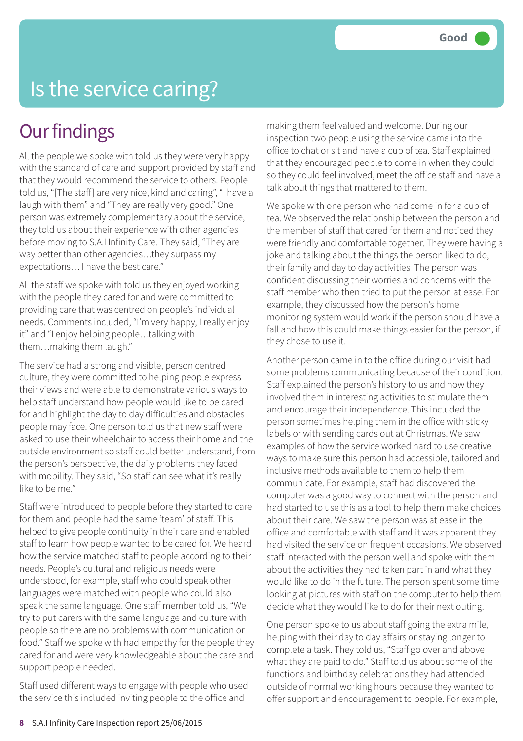# Is the service caring?

#### **Our findings**

All the people we spoke with told us they were very happy with the standard of care and support provided by staff and that they would recommend the service to others. People told us, "[The staff] are very nice, kind and caring", "I have a laugh with them" and "They are really very good." One person was extremely complementary about the service, they told us about their experience with other agencies before moving to S.A.I Infinity Care. They said, "They are way better than other agencies…they surpass my expectations… I have the best care."

All the staff we spoke with told us they enjoyed working with the people they cared for and were committed to providing care that was centred on people's individual needs. Comments included, "I'm very happy, I really enjoy it" and "I enjoy helping people…talking with them…making them laugh."

The service had a strong and visible, person centred culture, they were committed to helping people express their views and were able to demonstrate various ways to help staff understand how people would like to be cared for and highlight the day to day difficulties and obstacles people may face. One person told us that new staff were asked to use their wheelchair to access their home and the outside environment so staff could better understand, from the person's perspective, the daily problems they faced with mobility. They said, "So staff can see what it's really like to be me."

Staff were introduced to people before they started to care for them and people had the same 'team' of staff. This helped to give people continuity in their care and enabled staff to learn how people wanted to be cared for. We heard how the service matched staff to people according to their needs. People's cultural and religious needs were understood, for example, staff who could speak other languages were matched with people who could also speak the same language. One staff member told us, "We try to put carers with the same language and culture with people so there are no problems with communication or food." Staff we spoke with had empathy for the people they cared for and were very knowledgeable about the care and support people needed.

Staff used different ways to engage with people who used the service this included inviting people to the office and

making them feel valued and welcome. During our inspection two people using the service came into the office to chat or sit and have a cup of tea. Staff explained that they encouraged people to come in when they could so they could feel involved, meet the office staff and have a talk about things that mattered to them.

We spoke with one person who had come in for a cup of tea. We observed the relationship between the person and the member of staff that cared for them and noticed they were friendly and comfortable together. They were having a joke and talking about the things the person liked to do, their family and day to day activities. The person was confident discussing their worries and concerns with the staff member who then tried to put the person at ease. For example, they discussed how the person's home monitoring system would work if the person should have a fall and how this could make things easier for the person, if they chose to use it.

Another person came in to the office during our visit had some problems communicating because of their condition. Staff explained the person's history to us and how they involved them in interesting activities to stimulate them and encourage their independence. This included the person sometimes helping them in the office with sticky labels or with sending cards out at Christmas. We saw examples of how the service worked hard to use creative ways to make sure this person had accessible, tailored and inclusive methods available to them to help them communicate. For example, staff had discovered the computer was a good way to connect with the person and had started to use this as a tool to help them make choices about their care. We saw the person was at ease in the office and comfortable with staff and it was apparent they had visited the service on frequent occasions. We observed staff interacted with the person well and spoke with them about the activities they had taken part in and what they would like to do in the future. The person spent some time looking at pictures with staff on the computer to help them decide what they would like to do for their next outing.

One person spoke to us about staff going the extra mile, helping with their day to day affairs or staying longer to complete a task. They told us, "Staff go over and above what they are paid to do." Staff told us about some of the functions and birthday celebrations they had attended outside of normal working hours because they wanted to offer support and encouragement to people. For example,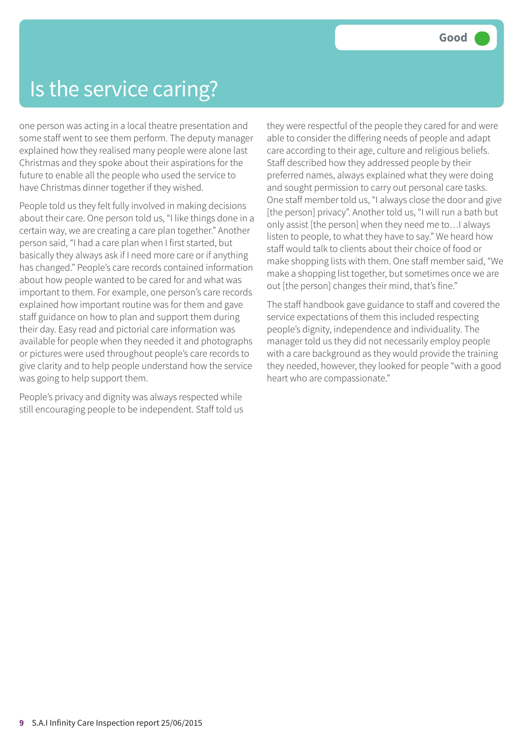### Is the service caring?

one person was acting in a local theatre presentation and some staff went to see them perform. The deputy manager explained how they realised many people were alone last Christmas and they spoke about their aspirations for the future to enable all the people who used the service to have Christmas dinner together if they wished.

People told us they felt fully involved in making decisions about their care. One person told us, "I like things done in a certain way, we are creating a care plan together." Another person said, "I had a care plan when I first started, but basically they always ask if I need more care or if anything has changed." People's care records contained information about how people wanted to be cared for and what was important to them. For example, one person's care records explained how important routine was for them and gave staff guidance on how to plan and support them during their day. Easy read and pictorial care information was available for people when they needed it and photographs or pictures were used throughout people's care records to give clarity and to help people understand how the service was going to help support them.

People's privacy and dignity was always respected while still encouraging people to be independent. Staff told us they were respectful of the people they cared for and were able to consider the differing needs of people and adapt care according to their age, culture and religious beliefs. Staff described how they addressed people by their preferred names, always explained what they were doing and sought permission to carry out personal care tasks. One staff member told us, "I always close the door and give [the person] privacy". Another told us, "I will run a bath but only assist [the person] when they need me to…I always listen to people, to what they have to say." We heard how staff would talk to clients about their choice of food or make shopping lists with them. One staff member said, "We make a shopping list together, but sometimes once we are out [the person] changes their mind, that's fine."

The staff handbook gave guidance to staff and covered the service expectations of them this included respecting people's dignity, independence and individuality. The manager told us they did not necessarily employ people with a care background as they would provide the training they needed, however, they looked for people "with a good heart who are compassionate."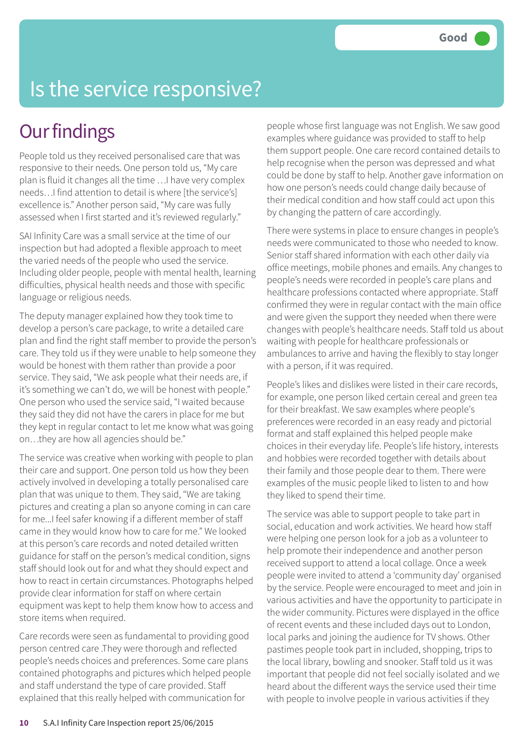# Is the service responsive?

## **Our findings**

People told us they received personalised care that was responsive to their needs. One person told us, "My care plan is fluid it changes all the time …I have very complex needs…I find attention to detail is where [the service's] excellence is." Another person said, "My care was fully assessed when I first started and it's reviewed regularly."

SAI Infinity Care was a small service at the time of our inspection but had adopted a flexible approach to meet the varied needs of the people who used the service. Including older people, people with mental health, learning difficulties, physical health needs and those with specific language or religious needs.

The deputy manager explained how they took time to develop a person's care package, to write a detailed care plan and find the right staff member to provide the person's care. They told us if they were unable to help someone they would be honest with them rather than provide a poor service. They said, "We ask people what their needs are, if it's something we can't do, we will be honest with people." One person who used the service said, "I waited because they said they did not have the carers in place for me but they kept in regular contact to let me know what was going on…they are how all agencies should be."

The service was creative when working with people to plan their care and support. One person told us how they been actively involved in developing a totally personalised care plan that was unique to them. They said, "We are taking pictures and creating a plan so anyone coming in can care for me...I feel safer knowing if a different member of staff came in they would know how to care for me." We looked at this person's care records and noted detailed written guidance for staff on the person's medical condition, signs staff should look out for and what they should expect and how to react in certain circumstances. Photographs helped provide clear information for staff on where certain equipment was kept to help them know how to access and store items when required.

Care records were seen as fundamental to providing good person centred care .They were thorough and reflected people's needs choices and preferences. Some care plans contained photographs and pictures which helped people and staff understand the type of care provided. Staff explained that this really helped with communication for

people whose first language was not English. We saw good examples where guidance was provided to staff to help them support people. One care record contained details to help recognise when the person was depressed and what could be done by staff to help. Another gave information on how one person's needs could change daily because of their medical condition and how staff could act upon this by changing the pattern of care accordingly.

There were systems in place to ensure changes in people's needs were communicated to those who needed to know. Senior staff shared information with each other daily via office meetings, mobile phones and emails. Any changes to people's needs were recorded in people's care plans and healthcare professions contacted where appropriate. Staff confirmed they were in regular contact with the main office and were given the support they needed when there were changes with people's healthcare needs. Staff told us about waiting with people for healthcare professionals or ambulances to arrive and having the flexibly to stay longer with a person, if it was required.

People's likes and dislikes were listed in their care records, for example, one person liked certain cereal and green tea for their breakfast. We saw examples where people's preferences were recorded in an easy ready and pictorial format and staff explained this helped people make choices in their everyday life. People's life history, interests and hobbies were recorded together with details about their family and those people dear to them. There were examples of the music people liked to listen to and how they liked to spend their time.

The service was able to support people to take part in social, education and work activities. We heard how staff were helping one person look for a job as a volunteer to help promote their independence and another person received support to attend a local collage. Once a week people were invited to attend a 'community day' organised by the service. People were encouraged to meet and join in various activities and have the opportunity to participate in the wider community. Pictures were displayed in the office of recent events and these included days out to London, local parks and joining the audience for TV shows. Other pastimes people took part in included, shopping, trips to the local library, bowling and snooker. Staff told us it was important that people did not feel socially isolated and we heard about the different ways the service used their time with people to involve people in various activities if they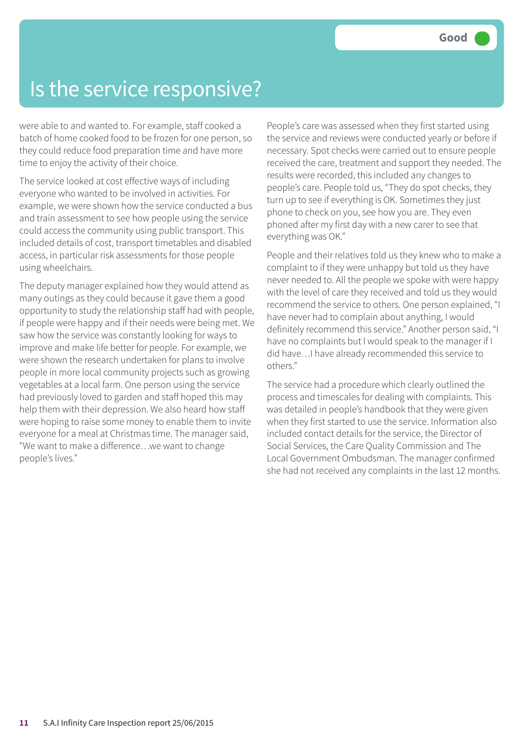### Is the service responsive?

were able to and wanted to. For example, staff cooked a batch of home cooked food to be frozen for one person, so they could reduce food preparation time and have more time to enjoy the activity of their choice.

The service looked at cost effective ways of including everyone who wanted to be involved in activities. For example, we were shown how the service conducted a bus and train assessment to see how people using the service could access the community using public transport. This included details of cost, transport timetables and disabled access, in particular risk assessments for those people using wheelchairs.

The deputy manager explained how they would attend as many outings as they could because it gave them a good opportunity to study the relationship staff had with people, if people were happy and if their needs were being met. We saw how the service was constantly looking for ways to improve and make life better for people. For example, we were shown the research undertaken for plans to involve people in more local community projects such as growing vegetables at a local farm. One person using the service had previously loved to garden and staff hoped this may help them with their depression. We also heard how staff were hoping to raise some money to enable them to invite everyone for a meal at Christmas time. The manager said, "We want to make a difference…we want to change people's lives."

People's care was assessed when they first started using the service and reviews were conducted yearly or before if necessary. Spot checks were carried out to ensure people received the care, treatment and support they needed. The results were recorded, this included any changes to people's care. People told us, "They do spot checks, they turn up to see if everything is OK. Sometimes they just phone to check on you, see how you are. They even phoned after my first day with a new carer to see that everything was OK."

People and their relatives told us they knew who to make a complaint to if they were unhappy but told us they have never needed to. All the people we spoke with were happy with the level of care they received and told us they would recommend the service to others. One person explained, "I have never had to complain about anything, I would definitely recommend this service." Another person said, "I have no complaints but I would speak to the manager if I did have…I have already recommended this service to others."

The service had a procedure which clearly outlined the process and timescales for dealing with complaints. This was detailed in people's handbook that they were given when they first started to use the service. Information also included contact details for the service, the Director of Social Services, the Care Quality Commission and The Local Government Ombudsman. The manager confirmed she had not received any complaints in the last 12 months.